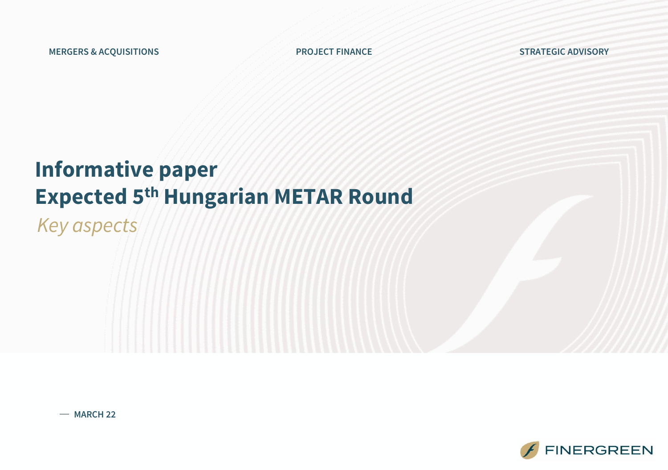### **Informative paper Expected 5th Hungarian METAR Round**

*Key aspects*

**MARCH 22**

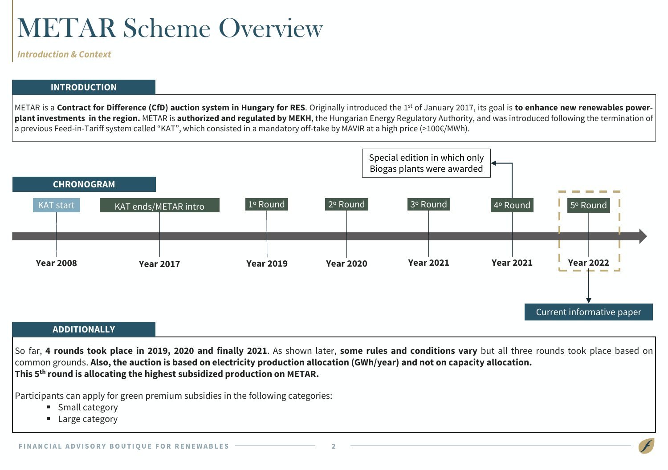## METAR Scheme Overview

*Introduction & Context*

#### **INTRODUCTION**

METAR is a Contract for Difference (CfD) auction system in Hungary for RES. Originally introduced the 1st of January 2017, its goal is to enhance new renewables powerplant investments in the region. METAR is authorized and regulated by MEKH, the Hungarian Energy Regulatory Authority, and was introduced following the termination of a previous Feed-in-Tariff system called "KAT", which consisted in a mandatory off-take by MAVIR at a high price (>100€/MWh).



So far, 4 rounds took place in 2019, 2020 and finally 2021. As shown later, some rules and conditions vary but all three rounds took place based on common grounds. Also, the auction is based on electricity production allocation (GWh/year) and not on capacity allocation. **This 5 th round is allocating the highest subsidized production on METAR.**

Participants can apply for green premium subsidies in the following categories:

- Small category
- Large category

 $\overline{\phantom{a}}$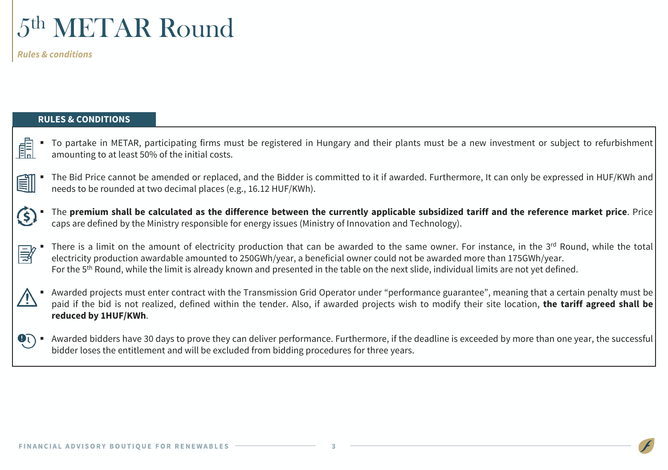

*Rules & conditions*

#### **RULES & CONDITIONS**

- To partake in METAR, participating firms must be registered in Hungary and their plants must be a new investment or subject to refurbishment 顅 amounting to at least 50% of the initial costs.
- The Bid Price cannot be amended or replaced, and the Bidder is committed to it if awarded. Furthermore, It can only be expressed in HUF/KWh and 創 needs to be rounded at two decimal places (e.g., 16.12 HUF/KWh).
	- The premium shall be calculated as the difference between the currently applicable subsidized tariff and the reference market price. Price caps are defined by the Ministry responsible for energy issues (Ministry of Innovation and Technology).
- " There is a limit on the amount of electricity production that can be awarded to the same owner. For instance, in the 3<sup>rd</sup> Round, while the total ③ electricity production awardable amounted to 250GWh/year, a beneficial owner could not be awarded more than 175GWh/year. For the 5<sup>th</sup> Round, while the limit is already known and presented in the table on the next slide, individual limits are not yet defined.
- Awarded projects must enter contract with the Transmission Grid Operator under "performance guarantee", meaning that a certain penalty must be paid if the bid is not realized, defined within the tender. Also, if awarded projects wish to modify their site location, **the tariff agreed shall be reduced by 1HUF/KWh**.
- Awarded bidders have 30 days to prove they can deliver performance. Furthermore, if the deadline is exceeded by more than one year, the successful  $\bullet$ bidder loses the entitlement and will be excluded from bidding procedures for three years.

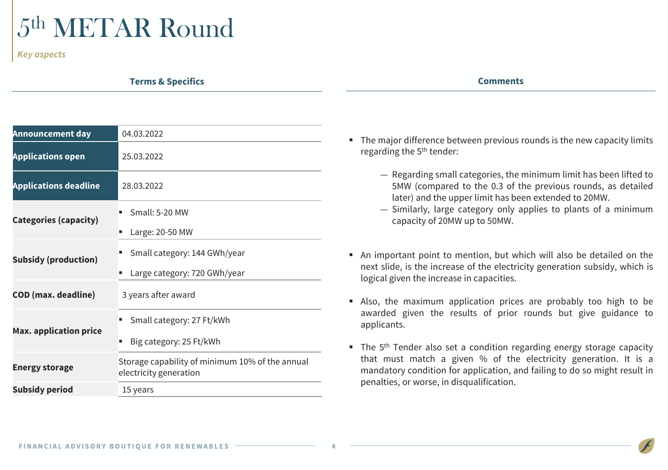# 5th METAR Round

*Key aspects*

**Terms & Specifics**

| Comments |  |
|----------|--|
|----------|--|

| <b>Announcement day</b>       | 04.03.2022                                                                |
|-------------------------------|---------------------------------------------------------------------------|
| <b>Applications open</b>      | 25.03.2022                                                                |
| <b>Applications deadline</b>  | 28.03.2022                                                                |
| <b>Categories (capacity)</b>  | Small: 5-20 MW<br>Large: 20-50 MW                                         |
| <b>Subsidy (production)</b>   | Small category: 144 GWh/year<br>Large category: 720 GWh/year              |
| <b>COD</b> (max. deadline)    | 3 years after award                                                       |
| <b>Max. application price</b> | Small category: 27 Ft/kWh<br>Big category: 25 Ft/kWh<br>п                 |
| <b>Energy storage</b>         | Storage capability of minimum 10% of the annual<br>electricity generation |
| <b>Subsidy period</b>         | 15 years                                                                  |

- The major difference between previous rounds is the new capacity limits regarding the 5<sup>th</sup> tender:
	- Regarding small categories, the minimum limit has been lifted to 5MW (compared to the 0.3 of the previous rounds, as detailed later) and the upper limit has been extended to 20MW.
	- Similarly, large category only applies to plants of a minimum capacity of 20MW up to 50MW.
- An important point to mention, but which will also be detailed on the next slide, is the increase of the electricity generation subsidy, which is logical given the increase in capacities.
- Also, the maximum application prices are probably too high to be awarded given the results of prior rounds but give guidance to applicants.
- The 5<sup>th</sup> Tender also set a condition regarding energy storage capacity that must match a given % of the electricity generation. It is a mandatory condition for application, and failing to do so might result in penalties, or worse, in disqualification.

 $\overline{\phantom{a}}$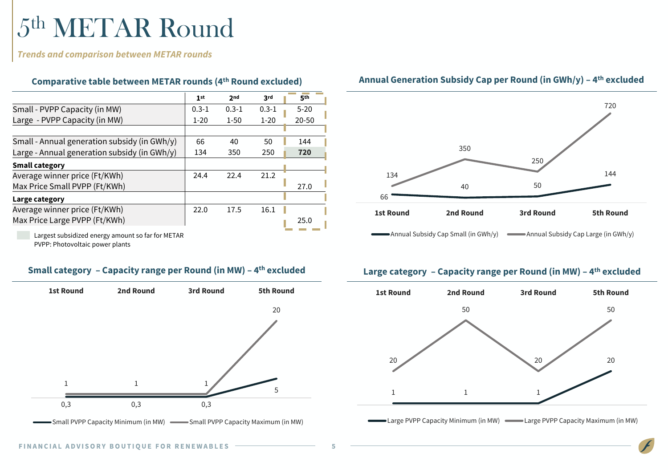# 5th METAR Round

*Trends and comparison between METAR rounds*

| Comparative table between METAR rounds (4th Round excluded) |  |             |     |
|-------------------------------------------------------------|--|-------------|-----|
|                                                             |  | $2nd$ $3rd$ | 5th |

|                                              |           |           |           | <u>.</u>  |
|----------------------------------------------|-----------|-----------|-----------|-----------|
| Small - PVPP Capacity (in MW)                | $0.3 - 1$ | $0.3 - 1$ | $0.3 - 1$ | $5 - 20$  |
| Large - PVPP Capacity (in MW)                | $1 - 20$  | $1 - 50$  | $1 - 20$  | $20 - 50$ |
|                                              |           |           |           |           |
| Small - Annual generation subsidy (in GWh/y) | 66        | 40        | 50        | 144       |
| Large - Annual generation subsidy (in GWh/y) | 134       | 350       | 250       | 720       |
| <b>Small category</b>                        |           |           |           |           |
| Average winner price (Ft/KWh)                | 24.4      | 22.4      | 21.2      |           |
| Max Price Small PVPP (Ft/KWh)                |           |           |           | 27.0      |
| Large category                               |           |           |           |           |
| Average winner price (Ft/KWh)                | 22.0      | 17.5      | 16.1      |           |
| Max Price Large PVPP (Ft/KWh)                |           |           |           | 25.0      |
|                                              |           |           |           |           |

Largest subsidized energy amount so far for METAR PVPP: Photovoltaic power plants

### **Small category – Capacity range per Round (in MW) – 4**



Small PVPP Capacity Minimum (in MW) Small PVPP Capacity Maximum (in MW)



### **Annual Generation Subsidy Cap per Round (in GWh/y) – 4 th excluded**

### **th excluded Large category – Capacity range per Round (in MW) – 4 th excluded**



-Large PVPP Capacity Minimum (in MW) - Large PVPP Capacity Maximum (in MW)

 $\overline{\phantom{a}}$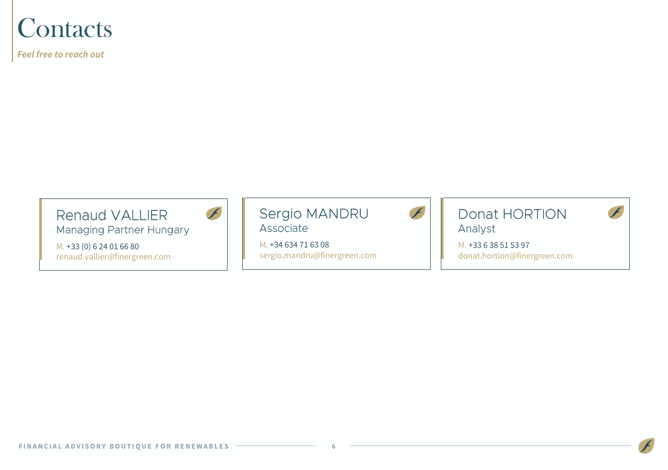### **Contacts**

*Feel free to reach out*



Managing Partner Hungary

M. +33 (0) 6 24 01 66 80 renaud.vallier@finergreen.com F



M. +34 634 71 63 08 sergio.mandru@finergreen.com



Donat HORTION Analyst



M. +33 6 38 51 53 97 donat.hortion@finergreen.com